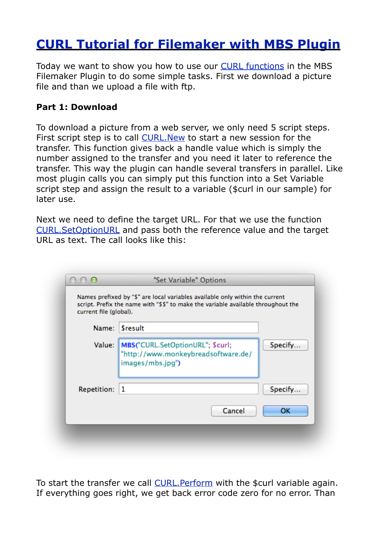## **[CURL Tutorial for Filemaker with MBS Plugin](http://www.mbsplugins.de/archive/2012-11-18/CURL_Tutorial_for_Filemaker_wi)**

Today we want to show you how to use our [CURL functions](http://www.mbsplugins.eu/component_CURL.shtml) in the MBS Filemaker Plugin to do some simple tasks. First we download a picture file and than we upload a file with ftp.

## **Part 1: Download**

To download a picture from a web server, we only need 5 script steps. First script step is to call [CURL.New](http://www.mbsplugins.eu/CURLNew.shtml) to start a new session for the transfer. This function gives back a handle value which is simply the number assigned to the transfer and you need it later to reference the transfer. This way the plugin can handle several transfers in parallel. Like most plugin calls you can simply put this function into a Set Variable script step and assign the result to a variable (\$curl in our sample) for later use.

Next we need to define the target URL. For that we use the function [CURL.SetOptionURL](http://www.mbsplugins.eu/CURLSetOptionURL.shtml) and pass both the reference value and the target URL as text. The call looks like this:

| current file (global). | script. Prefix the name with "\$\$" to make the variable available throughout the           |         |
|------------------------|---------------------------------------------------------------------------------------------|---------|
| Name:                  | <b>Sresult</b>                                                                              |         |
| Value:                 | MBS("CURL.SetOptionURL"; \$curl;<br>"http://www.monkeybreadsoftware.de/<br>images/mbs.jpg") | Specify |
| Repetition:   1        |                                                                                             | Specify |
|                        | Cancel                                                                                      | ОΚ      |

To start the transfer we call [CURL.Perform](http://www.mbsplugins.eu/CURLPerform.shtml) with the \$curl variable again. If everything goes right, we get back error code zero for no error. Than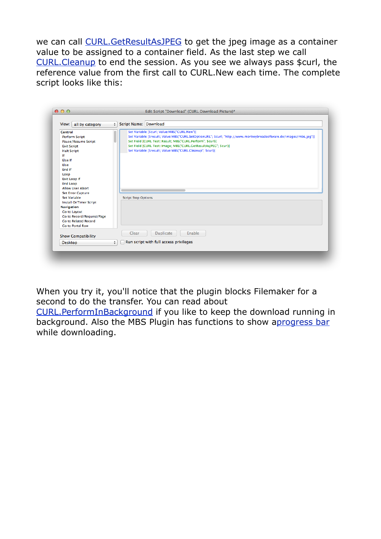we can call [CURL.GetResultAsJPEG](http://www.mbsplugins.eu/CURLGetResultAsJPEG.shtml) to get the jpeg image as a container value to be assigned to a container field. As the last step we call [CURL.Cleanup](http://www.mbsplugins.eu/CURLCleanup.shtml) to end the session. As you see we always pass \$curl, the reference value from the first call to CURL.New each time. The complete script looks like this:

| all by category<br>View:                                                                                                                                                                                                                                                                                                            | Script Name: Download<br>$\div$                                                                                                                                                                                                                                                                                                                                                                    |
|-------------------------------------------------------------------------------------------------------------------------------------------------------------------------------------------------------------------------------------------------------------------------------------------------------------------------------------|----------------------------------------------------------------------------------------------------------------------------------------------------------------------------------------------------------------------------------------------------------------------------------------------------------------------------------------------------------------------------------------------------|
| <b>Control</b><br><b>Perform Script</b><br>Pause/Resume Script<br><b>Exit Script</b><br><b>Halt Script</b><br>١f<br>Else If<br>Else<br>End If<br>Loop<br><b>Exit Loop If</b><br><b>End Loop</b><br><b>Allow User Abort</b><br><b>Set Error Capture</b><br><b>Set Variable</b><br><b>Install OnTimer Script</b><br><b>Navigation</b> | Set Variable [\$curl; Value:MBS("CURL.New")]<br>Set Variable [\$result; Value:MBS("CURL.SetOptionURL"; \$curl; "http://www.monkeybreadsoftware.de/images/mbs.jpg")]<br>Set Field [CURL Test::Result; MBS("CURL.Perform"; \$curl)]<br>Set Field [CURL Test::Image; MBS("CURL.GetResultAsJPEG"; \$curl)]<br>Set Variable [\$result; Value:MBS("CURL.Cleanup"; \$curl)]<br><b>Script Step Options</b> |
| <b>Go to Layout</b><br>Go to Record/Request/Page<br>Go to Related Record<br><b>Go to Portal Row</b>                                                                                                                                                                                                                                 |                                                                                                                                                                                                                                                                                                                                                                                                    |
| <b>Show Compatibility</b>                                                                                                                                                                                                                                                                                                           | Enable<br><b>Duplicate</b><br>Clear                                                                                                                                                                                                                                                                                                                                                                |
| <b>Desktop</b>                                                                                                                                                                                                                                                                                                                      | Run script with full access privileges<br>$\div$                                                                                                                                                                                                                                                                                                                                                   |

When you try it, you'll notice that the plugin blocks Filemaker for a second to do the transfer. You can read about

[CURL.PerformInBackground](http://www.mbsplugins.eu/CURLPerformInBackground.shtml) if you like to keep the download running in background. Also the MBS Plugin has functions to show [aprogress bar](http://www.mbsplugins.eu/component_ProgressDialog.shtml) while downloading.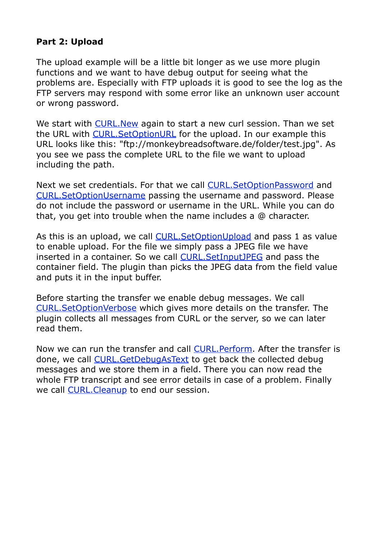## **Part 2: Upload**

The upload example will be a little bit longer as we use more plugin functions and we want to have debug output for seeing what the problems are. Especially with FTP uploads it is good to see the log as the FTP servers may respond with some error like an unknown user account or wrong password.

We start with [CURL.New](http://www.mbsplugins.eu/CURLNew.shtml) again to start a new curl session. Than we set the URL with CURL. Set OptionURL for the upload. In our example this URL looks like this: "ftp://monkeybreadsoftware.de/folder/test.jpg". As you see we pass the complete URL to the file we want to upload including the path.

Next we set credentials. For that we call [CURL.SetOptionPassword](http://www.mbsplugins.eu/CURLSetOptionPassword.shtml) and [CURL.SetOptionUsername](http://www.mbsplugins.eu/CURLSetOptionUsername.shtml) passing the username and password. Please do not include the password or username in the URL. While you can do that, you get into trouble when the name includes a @ character.

As this is an upload, we call [CURL.SetOptionUpload](http://www.mbsplugins.eu/CURLSetOptionUpload.shtml) and pass 1 as value to enable upload. For the file we simply pass a JPEG file we have inserted in a container. So we call [CURL.SetInputJPEG](http://www.mbsplugins.eu/CURLSetInputJPEG.shtml) and pass the container field. The plugin than picks the JPEG data from the field value and puts it in the input buffer.

Before starting the transfer we enable debug messages. We call [CURL.SetOptionVerbose](http://www.mbsplugins.eu/CURLSetOptionVerbose.shtml) which gives more details on the transfer. The plugin collects all messages from CURL or the server, so we can later read them.

Now we can run the transfer and call [CURL.Perform.](http://www.mbsplugins.eu/CURLPerform.shtml) After the transfer is done, we call [CURL.GetDebugAsText](http://www.mbsplugins.eu/CURLGetDebugAsText.shtml) to get back the collected debug messages and we store them in a field. There you can now read the whole FTP transcript and see error details in case of a problem. Finally we call **CURL. Cleanup** to end our session.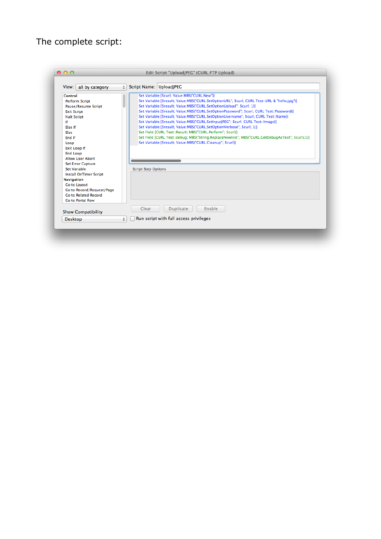## The complete script:

| all by category<br>View:                                       | Script Name: UploadJPEG<br>$\div$                                                                                                                                                                                      |
|----------------------------------------------------------------|------------------------------------------------------------------------------------------------------------------------------------------------------------------------------------------------------------------------|
| Control<br><b>Perform Script</b><br><b>Pause/Resume Script</b> | Set Variable [\$curl; Value:MBS("CURL.New")]<br>Set Variable [\$result; Value:MBS("CURL.SetOptionURL"; \$curl; CURL Test::URL & "hello.jpq")]<br>Set Variable [\$result: Value:MBS("CURL.SetOptionUpload": \$curl: 1)] |
| <b>Exit Script</b>                                             | Set Variable [\$result; Value:MBS("CURL.SetOptionPassword"; \$curl; CURL Test::Password)]                                                                                                                              |
| <b>Halt Script</b>                                             | Set Variable [\$result; Value:MBS("CURL.SetOptionUsername"; \$curl; CURL Test::Name)]                                                                                                                                  |
| If                                                             | Set Variable [\$result; Value:MBS("CURL.SetInputJPEG"; \$curl; CURL Test::Image)]                                                                                                                                      |
| <b>Fise If</b>                                                 | Set Variable [\$result; Value:MBS("CURL.SetOptionVerbose"; \$curl; 1)]                                                                                                                                                 |
| Else                                                           | Set Field [CURL Test::Result; MBS("CURL.Perform"; \$curl)]                                                                                                                                                             |
| End If                                                         | Set Field [CURL Test::debug; MBS("String.ReplaceNewline"; MBS("CURL.GetDebugAsText"; \$curl);1)]                                                                                                                       |
| Loop                                                           | Set Variable [\$result; Value:MBS("CURL.Cleanup"; \$curl)]                                                                                                                                                             |
| <b>Exit Loop If</b>                                            |                                                                                                                                                                                                                        |
| <b>End Loop</b>                                                |                                                                                                                                                                                                                        |
| <b>Allow User Abort</b>                                        |                                                                                                                                                                                                                        |
| <b>Set Error Capture</b>                                       |                                                                                                                                                                                                                        |
| <b>Set Variable</b>                                            | <b>Script Step Options</b>                                                                                                                                                                                             |
| <b>Install OnTimer Script</b>                                  |                                                                                                                                                                                                                        |
| <b>Navigation</b>                                              |                                                                                                                                                                                                                        |
| <b>Go to Lavout</b>                                            |                                                                                                                                                                                                                        |
| Go to Record/Request/Page                                      |                                                                                                                                                                                                                        |
| Go to Related Record                                           |                                                                                                                                                                                                                        |
| Go to Portal Row                                               |                                                                                                                                                                                                                        |
| <b>Show Compatibility</b>                                      | Enable<br><b>Duplicate</b><br>Clear                                                                                                                                                                                    |